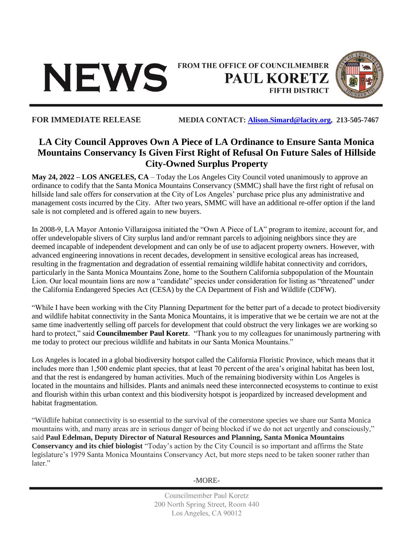

FROM THE OFFICE OF COUNCILMEMBER **PAUL KORETZ FIFTH DISTRICT** 



## **FOR IMMEDIATE RELEASE MEDIA CONTACT: [Alison.Simard@lacity.org,](mailto:Alison.Simard@lacity.org) 213-505-7467**

## **LA City Council Approves Own A Piece of LA Ordinance to Ensure Santa Monica Mountains Conservancy Is Given First Right of Refusal On Future Sales of Hillside City-Owned Surplus Property**

**May 24, 2022 – LOS ANGELES, CA** – Today the Los Angeles City Council voted unanimously to approve an ordinance to codify that the Santa Monica Mountains Conservancy (SMMC) shall have the first right of refusal on hillside land sale offers for conservation at the City of Los Angeles' purchase price plus any administrative and management costs incurred by the City. After two years, SMMC will have an additional re-offer option if the land sale is not completed and is offered again to new buyers.

In 2008-9, LA Mayor Antonio Villaraigosa initiated the "Own A Piece of LA" program to itemize, account for, and offer undevelopable slivers of City surplus land and/or remnant parcels to adjoining neighbors since they are deemed incapable of independent development and can only be of use to adjacent property owners. However, with advanced engineering innovations in recent decades, development in sensitive ecological areas has increased, resulting in the fragmentation and degradation of essential remaining wildlife habitat connectivity and corridors, particularly in the Santa Monica Mountains Zone, home to the Southern California subpopulation of the Mountain Lion. Our local mountain lions are now a "candidate" species under consideration for listing as "threatened" under the California Endangered Species Act (CESA) by the CA Department of Fish and Wildlife (CDFW).

"While I have been working with the City Planning Department for the better part of a decade to protect biodiversity and wildlife habitat connectivity in the Santa Monica Mountains, it is imperative that we be certain we are not at the same time inadvertently selling off parcels for development that could obstruct the very linkages we are working so hard to protect," said **Councilmember Paul Koretz**. "Thank you to my colleagues for unanimously partnering with me today to protect our precious wildlife and habitats in our Santa Monica Mountains."

Los Angeles is located in a global biodiversity hotspot called the California Floristic Province, which means that it includes more than 1,500 endemic plant species, that at least 70 percent of the area's original habitat has been lost, and that the rest is endangered by human activities. Much of the remaining biodiversity within Los Angeles is located in the mountains and hillsides. Plants and animals need these interconnected ecosystems to continue to exist and flourish within this urban context and this biodiversity hotspot is jeopardized by increased development and habitat fragmentation.

"Wildlife habitat connectivity is so essential to the survival of the cornerstone species we share our Santa Monica mountains with, and many areas are in serious danger of being blocked if we do not act urgently and consciously," said **Paul Edelman, Deputy Director of Natural Resources and Planning, Santa Monica Mountains Conservancy and its chief biologist** "Today's action by the City Council is so important and affirms the State legislature's 1979 Santa Monica Mountains Conservancy Act, but more steps need to be taken sooner rather than later."

-MORE-